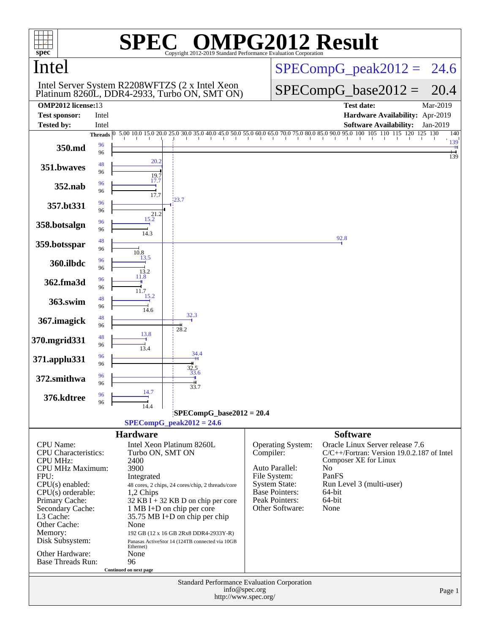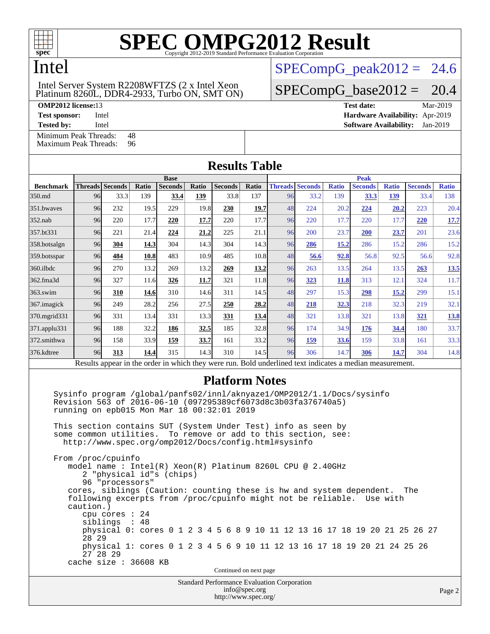

## Intel

### Platinum 8260L, DDR4-2933, Turbo ON, SMT ON) Intel Server System R2208WFTZS (2 x Intel Xeon

[Minimum Peak Threads:](http://www.spec.org/auto/omp2012/Docs/result-fields.html#MinimumPeakThreads) 48<br>Maximum Peak Threads: 96 [Maximum Peak Threads:](http://www.spec.org/auto/omp2012/Docs/result-fields.html#MaximumPeakThreads)

 $SPECompG_peak2012 = 24.6$  $SPECompG_peak2012 = 24.6$ 

 $SPECompG_base2012 = 20.4$  $SPECompG_base2012 = 20.4$ 

**[OMP2012 license:](http://www.spec.org/auto/omp2012/Docs/result-fields.html#OMP2012license)**13 **[Test date:](http://www.spec.org/auto/omp2012/Docs/result-fields.html#Testdate)** Mar-2019 **[Test sponsor:](http://www.spec.org/auto/omp2012/Docs/result-fields.html#Testsponsor)** Intel **[Hardware Availability:](http://www.spec.org/auto/omp2012/Docs/result-fields.html#HardwareAvailability)** Apr-2019 **[Tested by:](http://www.spec.org/auto/omp2012/Docs/result-fields.html#Testedby)** Intel **[Software Availability:](http://www.spec.org/auto/omp2012/Docs/result-fields.html#SoftwareAvailability)** Jan-2019

|                  |                        |      |       |                |       | <b>Results Table</b> |       |    |                        |              |                                                                                                          |              |                |              |  |
|------------------|------------------------|------|-------|----------------|-------|----------------------|-------|----|------------------------|--------------|----------------------------------------------------------------------------------------------------------|--------------|----------------|--------------|--|
|                  | <b>Base</b>            |      |       |                |       |                      |       |    | <b>Peak</b>            |              |                                                                                                          |              |                |              |  |
| <b>Benchmark</b> | <b>Threads Seconds</b> |      | Ratio | <b>Seconds</b> | Ratio | <b>Seconds</b>       | Ratio |    | <b>Threads Seconds</b> | <b>Ratio</b> | <b>Seconds</b>                                                                                           | <b>Ratio</b> | <b>Seconds</b> | <b>Ratio</b> |  |
| 350.md           | 96                     | 33.3 | 139   | 33.4           | 139   | 33.8                 | 137   | 96 | 33.2                   | 139          | 33.3                                                                                                     | 139          | 33.4           | 138          |  |
| 351.bwaves       | 96                     | 232  | 19.5  | 229            | 19.8  | 230                  | 19.7  | 48 | 224                    | 20.2         | 224                                                                                                      | 20.2         | 223            | 20.4         |  |
| $352$ .nab       | 96                     | 220  | 17.7  | 220            | 17.7  | 220                  | 17.7  | 96 | 220                    | 17.7         | 220                                                                                                      | 17.7         | 220            | 17.7         |  |
| 357.bt331        | 96                     | 221  | 21.4  | 224            | 21.2  | 225                  | 21.1  | 96 | 200                    | 23.7         | 200                                                                                                      | 23.7         | 201            | 23.6         |  |
| 358.botsalgn     | 96                     | 304  | 14.3  | 304            | 14.3  | 304                  | 14.3  | 96 | 286                    | 15.2         | 286                                                                                                      | 15.2         | 286            | 15.2         |  |
| 359.botsspar     | 96                     | 484  | 10.8  | 483            | 10.9  | 485                  | 10.8  | 48 | 56.6                   | 92.8         | 56.8                                                                                                     | 92.5         | 56.6           | 92.8         |  |
| $360$ .ilbdc     | 96                     | 270  | 13.2  | 269            | 13.2  | 269                  | 13.2  | 96 | 263                    | 13.5         | 264                                                                                                      | 13.5         | 263            | <u>13.5</u>  |  |
| 362.fma3d        | 96                     | 327  | 11.6  | 326            | 11.7  | 321                  | 11.8  | 96 | 323                    | 11.8         | 313                                                                                                      | 12.1         | 324            | 11.7         |  |
| $363$ .swim      | 96                     | 310  | 14.6  | 310            | 14.6  | 311                  | 14.5  | 48 | 297                    | 15.3         | 298                                                                                                      | 15.2         | 299            | 15.1         |  |
| 367. imagick     | 96                     | 249  | 28.2  | 256            | 27.5  | 250                  | 28.2  | 48 | 218                    | 32.3         | 218                                                                                                      | 32.3         | 219            | 32.1         |  |
| 370.mgrid331     | 96                     | 331  | 13.4  | 331            | 13.3  | 331                  | 13.4  | 48 | 321                    | 13.8         | 321                                                                                                      | 13.8         | <u>321</u>     | <u>13.8</u>  |  |
| 371.applu331     | 96                     | 188  | 32.2  | 186            | 32.5  | 185                  | 32.8  | 96 | 174                    | 34.9         | <u>176</u>                                                                                               | 34.4         | 180            | 33.7         |  |
| 372.smithwa      | 96                     | 158  | 33.9  | 159            | 33.7  | 161                  | 33.2  | 96 | 159                    | 33.6         | 159                                                                                                      | 33.8         | 161            | 33.3         |  |
| 376.kdtree       | 96                     | 313  | 14.4  | 315            | 14.3  | 310                  | 14.5  | 96 | 306                    | 14.7         | 306                                                                                                      | 14.7         | 304            | 14.8         |  |
|                  |                        |      |       |                |       |                      |       |    |                        |              | Results appear in the order in which they were run. Bold underlined text indicates a median measurement. |              |                |              |  |

### **[Platform Notes](http://www.spec.org/auto/omp2012/Docs/result-fields.html#PlatformNotes)**

 Sysinfo program /global/panfs02/innl/aknyaze1/OMP2012/1.1/Docs/sysinfo Revision 563 of 2016-06-10 (097295389cf6073d8c3b03fa376740a5) running on epb015 Mon Mar 18 00:32:01 2019 This section contains SUT (System Under Test) info as seen by some common utilities. To remove or add to this section, see:

 <http://www.spec.org/omp2012/Docs/config.html#sysinfo> From /proc/cpuinfo

 model name : Intel(R) Xeon(R) Platinum 8260L CPU @ 2.40GHz 2 "physical id"s (chips) 96 "processors" cores, siblings (Caution: counting these is hw and system dependent. The following excerpts from /proc/cpuinfo might not be reliable. Use with caution.) cpu cores : 24 siblings : 48 physical 0: cores 0 1 2 3 4 5 6 8 9 10 11 12 13 16 17 18 19 20 21 25 26 27 28 29 physical 1: cores 0 1 2 3 4 5 6 9 10 11 12 13 16 17 18 19 20 21 24 25 26 27 28 29 cache size : 36608 KB

Continued on next page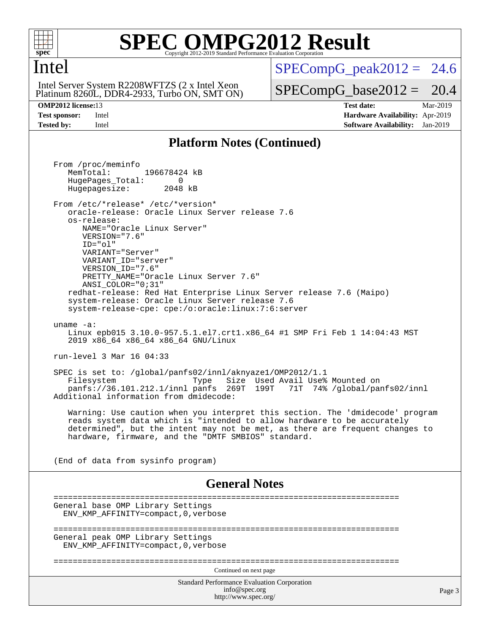

### Intel

Platinum 8260L, DDR4-2933, Turbo ON, SMT ON) Intel Server System R2208WFTZS (2 x Intel Xeon

 $SPECompG_peak2012 = 24.6$  $SPECompG_peak2012 = 24.6$ 

 $SPECompG_base2012 = 20.4$  $SPECompG_base2012 = 20.4$ 

**[OMP2012 license:](http://www.spec.org/auto/omp2012/Docs/result-fields.html#OMP2012license)**13 **[Test date:](http://www.spec.org/auto/omp2012/Docs/result-fields.html#Testdate)** Mar-2019 **[Test sponsor:](http://www.spec.org/auto/omp2012/Docs/result-fields.html#Testsponsor)** Intel **[Hardware Availability:](http://www.spec.org/auto/omp2012/Docs/result-fields.html#HardwareAvailability)** Apr-2019 **[Tested by:](http://www.spec.org/auto/omp2012/Docs/result-fields.html#Testedby)** Intel **[Software Availability:](http://www.spec.org/auto/omp2012/Docs/result-fields.html#SoftwareAvailability)** Jan-2019

### **[Platform Notes \(Continued\)](http://www.spec.org/auto/omp2012/Docs/result-fields.html#PlatformNotes)**

Standard Performance Evaluation Corporation [info@spec.org](mailto:info@spec.org) <http://www.spec.org/> Page 3 From /proc/meminfo MemTotal: 196678424 kB HugePages\_Total: 0<br>Hugepagesize: 2048 kB Hugepagesize: From /etc/\*release\* /etc/\*version\* oracle-release: Oracle Linux Server release 7.6 os-release: NAME="Oracle Linux Server" VERSION="7.6" ID="ol" VARIANT="Server" VARIANT\_ID="server" VERSION\_ID="7.6" PRETTY\_NAME="Oracle Linux Server 7.6" ANSI\_COLOR="0;31" redhat-release: Red Hat Enterprise Linux Server release 7.6 (Maipo) system-release: Oracle Linux Server release 7.6 system-release-cpe: cpe:/o:oracle:linux:7:6:server uname -a: Linux epb015 3.10.0-957.5.1.el7.crt1.x86\_64 #1 SMP Fri Feb 1 14:04:43 MST 2019 x86\_64 x86\_64 x86\_64 GNU/Linux run-level 3 Mar 16 04:33 SPEC is set to: /global/panfs02/innl/aknyaze1/OMP2012/1.1 Type Size Used Avail Use% Mounted on<br>panfs 269T 199T 71T 74% /global/par panfs://36.101.212.1/innl panfs 269T 199T 71T 74% /global/panfs02/innl Additional information from dmidecode: Warning: Use caution when you interpret this section. The 'dmidecode' program reads system data which is "intended to allow hardware to be accurately determined", but the intent may not be met, as there are frequent changes to hardware, firmware, and the "DMTF SMBIOS" standard. (End of data from sysinfo program) **[General Notes](http://www.spec.org/auto/omp2012/Docs/result-fields.html#GeneralNotes)** ======================================================================== General base OMP Library Settings ENV\_KMP\_AFFINITY=compact,0,verbose ======================================================================== General peak OMP Library Settings ENV\_KMP\_AFFINITY=compact,0,verbose ======================================================================== Continued on next page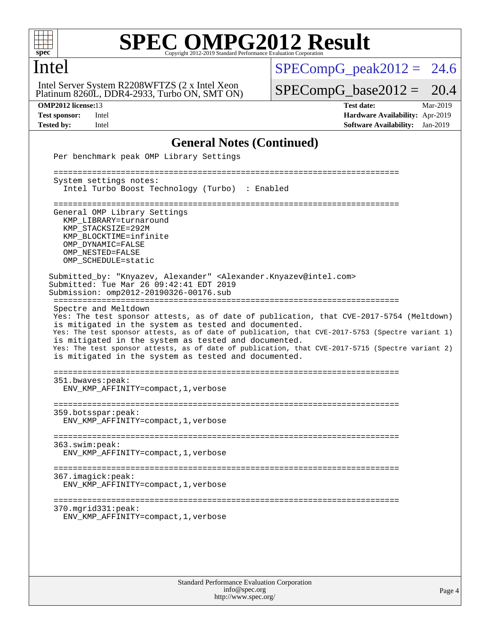

### Intel

Platinum 8260L, DDR4-2933, Turbo ON, SMT ON) Intel Server System R2208WFTZS (2 x Intel Xeon

 $SPECompG_peak2012 = 24.6$  $SPECompG_peak2012 = 24.6$ 

 $SPECompG_base2012 = 20.4$  $SPECompG_base2012 = 20.4$ 

**[OMP2012 license:](http://www.spec.org/auto/omp2012/Docs/result-fields.html#OMP2012license)**13 **[Test date:](http://www.spec.org/auto/omp2012/Docs/result-fields.html#Testdate)** Mar-2019 **[Test sponsor:](http://www.spec.org/auto/omp2012/Docs/result-fields.html#Testsponsor)** Intel **[Hardware Availability:](http://www.spec.org/auto/omp2012/Docs/result-fields.html#HardwareAvailability)** Apr-2019 **[Tested by:](http://www.spec.org/auto/omp2012/Docs/result-fields.html#Testedby)** Intel **[Software Availability:](http://www.spec.org/auto/omp2012/Docs/result-fields.html#SoftwareAvailability)** Jan-2019

### **[General Notes \(Continued\)](http://www.spec.org/auto/omp2012/Docs/result-fields.html#GeneralNotes)**

| Per benchmark peak OMP Library Settings                                                                                                                                                                                                                                                                                                                                                                                                                                                         |
|-------------------------------------------------------------------------------------------------------------------------------------------------------------------------------------------------------------------------------------------------------------------------------------------------------------------------------------------------------------------------------------------------------------------------------------------------------------------------------------------------|
| System settings notes:<br>Intel Turbo Boost Technology (Turbo) : Enabled                                                                                                                                                                                                                                                                                                                                                                                                                        |
| General OMP Library Settings<br>KMP_LIBRARY=turnaround<br>KMP STACKSIZE=292M<br>KMP BLOCKTIME=infinite<br>OMP DYNAMIC=FALSE<br>OMP NESTED=FALSE<br>OMP SCHEDULE=static                                                                                                                                                                                                                                                                                                                          |
| Submitted_by: "Knyazev, Alexander" <alexander.knyazev@intel.com><br/>Submitted: Tue Mar 26 09:42:41 EDT 2019<br/>Submission: omp2012-20190326-00176.sub</alexander.knyazev@intel.com>                                                                                                                                                                                                                                                                                                           |
| Spectre and Meltdown<br>Yes: The test sponsor attests, as of date of publication, that CVE-2017-5754 (Meltdown)<br>is mitigated in the system as tested and documented.<br>Yes: The test sponsor attests, as of date of publication, that CVE-2017-5753 (Spectre variant 1)<br>is mitigated in the system as tested and documented.<br>Yes: The test sponsor attests, as of date of publication, that CVE-2017-5715 (Spectre variant 2)<br>is mitigated in the system as tested and documented. |
| 351.bwaves:peak:<br>ENV_KMP_AFFINITY=compact, 1, verbose                                                                                                                                                                                                                                                                                                                                                                                                                                        |
| 359.botsspar: peak:<br>ENV_KMP_AFFINITY=compact, 1, verbose                                                                                                                                                                                                                                                                                                                                                                                                                                     |
| 363.swin:peak:<br>ENV_KMP_AFFINITY=compact, 1, verbose                                                                                                                                                                                                                                                                                                                                                                                                                                          |
| 367.imagick:peak:<br>ENV_KMP_AFFINITY=compact, 1, verbose                                                                                                                                                                                                                                                                                                                                                                                                                                       |
| 370.mgrid331:peak:<br>ENV_KMP_AFFINITY=compact, 1, verbose                                                                                                                                                                                                                                                                                                                                                                                                                                      |
|                                                                                                                                                                                                                                                                                                                                                                                                                                                                                                 |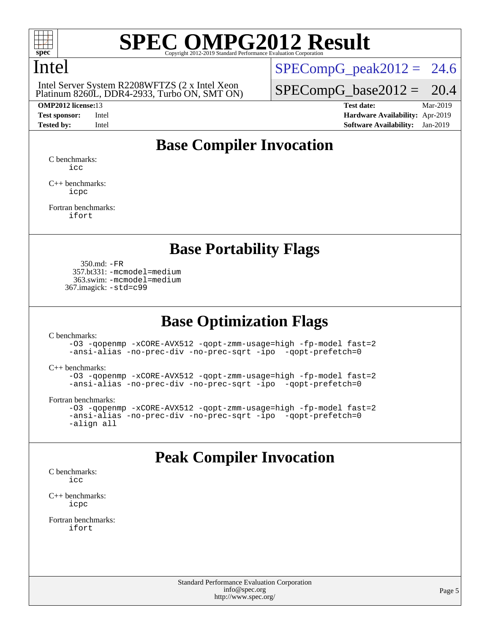

### Intel

Platinum 8260L, DDR4-2933, Turbo ON, SMT ON) Intel Server System R2208WFTZS (2 x Intel Xeon

 $SPECompG_peak2012 = 24.6$  $SPECompG_peak2012 = 24.6$ 

 $SPECompG_base2012 = 20.4$  $SPECompG_base2012 = 20.4$ 

**[OMP2012 license:](http://www.spec.org/auto/omp2012/Docs/result-fields.html#OMP2012license)**13 **[Test date:](http://www.spec.org/auto/omp2012/Docs/result-fields.html#Testdate)** Mar-2019 **[Test sponsor:](http://www.spec.org/auto/omp2012/Docs/result-fields.html#Testsponsor)** Intel **[Hardware Availability:](http://www.spec.org/auto/omp2012/Docs/result-fields.html#HardwareAvailability)** Apr-2019 **[Tested by:](http://www.spec.org/auto/omp2012/Docs/result-fields.html#Testedby)** Intel **[Software Availability:](http://www.spec.org/auto/omp2012/Docs/result-fields.html#SoftwareAvailability)** Jan-2019

### **[Base Compiler Invocation](http://www.spec.org/auto/omp2012/Docs/result-fields.html#BaseCompilerInvocation)**

[C benchmarks](http://www.spec.org/auto/omp2012/Docs/result-fields.html#Cbenchmarks): [icc](http://www.spec.org/omp2012/results/res2019q2/omp2012-20190326-00176.flags.html#user_CCbase_intel_icc_a87c68a857bc5ec5362391a49d3a37a6)

[C++ benchmarks:](http://www.spec.org/auto/omp2012/Docs/result-fields.html#CXXbenchmarks) [icpc](http://www.spec.org/omp2012/results/res2019q2/omp2012-20190326-00176.flags.html#user_CXXbase_intel_icpc_2d899f8d163502b12eb4a60069f80c1c)

[Fortran benchmarks](http://www.spec.org/auto/omp2012/Docs/result-fields.html#Fortranbenchmarks): [ifort](http://www.spec.org/omp2012/results/res2019q2/omp2012-20190326-00176.flags.html#user_FCbase_intel_ifort_8a5e5e06b19a251bdeaf8fdab5d62f20)

### **[Base Portability Flags](http://www.spec.org/auto/omp2012/Docs/result-fields.html#BasePortabilityFlags)**

 350.md: [-FR](http://www.spec.org/omp2012/results/res2019q2/omp2012-20190326-00176.flags.html#user_baseFPORTABILITY350_md_f-FR) 357.bt331: [-mcmodel=medium](http://www.spec.org/omp2012/results/res2019q2/omp2012-20190326-00176.flags.html#user_basePORTABILITY357_bt331_f-mcmodel_3a41622424bdd074c4f0f2d2f224c7e5) 363.swim: [-mcmodel=medium](http://www.spec.org/omp2012/results/res2019q2/omp2012-20190326-00176.flags.html#user_basePORTABILITY363_swim_f-mcmodel_3a41622424bdd074c4f0f2d2f224c7e5) 367.imagick: [-std=c99](http://www.spec.org/omp2012/results/res2019q2/omp2012-20190326-00176.flags.html#user_baseCPORTABILITY367_imagick_f-std_2ec6533b6e06f1c4a6c9b78d9e9cde24)

### **[Base Optimization Flags](http://www.spec.org/auto/omp2012/Docs/result-fields.html#BaseOptimizationFlags)**

[C benchmarks](http://www.spec.org/auto/omp2012/Docs/result-fields.html#Cbenchmarks):

[-O3](http://www.spec.org/omp2012/results/res2019q2/omp2012-20190326-00176.flags.html#user_CCbase_f-O3) [-qopenmp](http://www.spec.org/omp2012/results/res2019q2/omp2012-20190326-00176.flags.html#user_CCbase_f-qopenmp) [-xCORE-AVX512](http://www.spec.org/omp2012/results/res2019q2/omp2012-20190326-00176.flags.html#user_CCbase_f-xCORE-AVX512) [-qopt-zmm-usage=high](http://www.spec.org/omp2012/results/res2019q2/omp2012-20190326-00176.flags.html#user_CCbase_f-qopt-zmm-usage_213d857421e75f2db2f896f7900465fb) [-fp-model fast=2](http://www.spec.org/omp2012/results/res2019q2/omp2012-20190326-00176.flags.html#user_CCbase_f-fp-model_a7fb8ccb7275e23f0079632c153cfcab) [-ansi-alias](http://www.spec.org/omp2012/results/res2019q2/omp2012-20190326-00176.flags.html#user_CCbase_f-ansi-alias) [-no-prec-div](http://www.spec.org/omp2012/results/res2019q2/omp2012-20190326-00176.flags.html#user_CCbase_f-no-prec-div) [-no-prec-sqrt](http://www.spec.org/omp2012/results/res2019q2/omp2012-20190326-00176.flags.html#user_CCbase_f-no-prec-sqrt) [-ipo](http://www.spec.org/omp2012/results/res2019q2/omp2012-20190326-00176.flags.html#user_CCbase_f-ipo_84062ab53814f613187d02344b8f49a7) [-qopt-prefetch=0](http://www.spec.org/omp2012/results/res2019q2/omp2012-20190326-00176.flags.html#user_CCbase_f-qopt-prefetch_ce172c705aa924d14c76f32fff3f4886)

[C++ benchmarks:](http://www.spec.org/auto/omp2012/Docs/result-fields.html#CXXbenchmarks)

```
-O3 -qopenmp -xCORE-AVX512 -qopt-zmm-usage=high -fp-model fast=2
-ansi-alias -no-prec-div -no-prec-sqrt -ipo -qopt-prefetch=0
```
[Fortran benchmarks](http://www.spec.org/auto/omp2012/Docs/result-fields.html#Fortranbenchmarks):

```
-O3 -qopenmp -xCORE-AVX512 -qopt-zmm-usage=high -fp-model fast=2
-ansi-alias -no-prec-div -no-prec-sqrt -ipo -qopt-prefetch=0
-align all
```
### **[Peak Compiler Invocation](http://www.spec.org/auto/omp2012/Docs/result-fields.html#PeakCompilerInvocation)**

[C benchmarks](http://www.spec.org/auto/omp2012/Docs/result-fields.html#Cbenchmarks): [icc](http://www.spec.org/omp2012/results/res2019q2/omp2012-20190326-00176.flags.html#user_CCpeak_intel_icc_a87c68a857bc5ec5362391a49d3a37a6)

[C++ benchmarks:](http://www.spec.org/auto/omp2012/Docs/result-fields.html#CXXbenchmarks) [icpc](http://www.spec.org/omp2012/results/res2019q2/omp2012-20190326-00176.flags.html#user_CXXpeak_intel_icpc_2d899f8d163502b12eb4a60069f80c1c)

[Fortran benchmarks](http://www.spec.org/auto/omp2012/Docs/result-fields.html#Fortranbenchmarks): [ifort](http://www.spec.org/omp2012/results/res2019q2/omp2012-20190326-00176.flags.html#user_FCpeak_intel_ifort_8a5e5e06b19a251bdeaf8fdab5d62f20)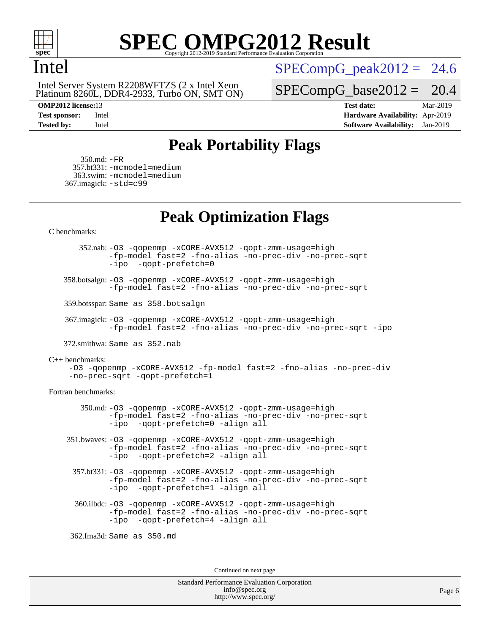

### Intel

Platinum 8260L, DDR4-2933, Turbo ON, SMT ON) Intel Server System R2208WFTZS (2 x Intel Xeon

 $SPECompG_peak2012 = 24.6$  $SPECompG_peak2012 = 24.6$ 

 $SPECompG_base2012 = 20.4$  $SPECompG_base2012 = 20.4$ 

**[OMP2012 license:](http://www.spec.org/auto/omp2012/Docs/result-fields.html#OMP2012license)**13 **[Test date:](http://www.spec.org/auto/omp2012/Docs/result-fields.html#Testdate)** Mar-2019 **[Test sponsor:](http://www.spec.org/auto/omp2012/Docs/result-fields.html#Testsponsor)** Intel **[Hardware Availability:](http://www.spec.org/auto/omp2012/Docs/result-fields.html#HardwareAvailability)** Apr-2019 **[Tested by:](http://www.spec.org/auto/omp2012/Docs/result-fields.html#Testedby)** Intel **[Software Availability:](http://www.spec.org/auto/omp2012/Docs/result-fields.html#SoftwareAvailability)** Jan-2019

### **[Peak Portability Flags](http://www.spec.org/auto/omp2012/Docs/result-fields.html#PeakPortabilityFlags)**

 350.md: [-FR](http://www.spec.org/omp2012/results/res2019q2/omp2012-20190326-00176.flags.html#user_peakFPORTABILITY350_md_f-FR) 357.bt331: [-mcmodel=medium](http://www.spec.org/omp2012/results/res2019q2/omp2012-20190326-00176.flags.html#user_peakPORTABILITY357_bt331_f-mcmodel_3a41622424bdd074c4f0f2d2f224c7e5) 363.swim: [-mcmodel=medium](http://www.spec.org/omp2012/results/res2019q2/omp2012-20190326-00176.flags.html#user_peakPORTABILITY363_swim_f-mcmodel_3a41622424bdd074c4f0f2d2f224c7e5) 367.imagick: [-std=c99](http://www.spec.org/omp2012/results/res2019q2/omp2012-20190326-00176.flags.html#user_peakCPORTABILITY367_imagick_f-std_2ec6533b6e06f1c4a6c9b78d9e9cde24)

### **[Peak Optimization Flags](http://www.spec.org/auto/omp2012/Docs/result-fields.html#PeakOptimizationFlags)**

[C benchmarks](http://www.spec.org/auto/omp2012/Docs/result-fields.html#Cbenchmarks):

 352.nab: [-O3](http://www.spec.org/omp2012/results/res2019q2/omp2012-20190326-00176.flags.html#user_peakOPTIMIZE352_nab_f-O3) [-qopenmp](http://www.spec.org/omp2012/results/res2019q2/omp2012-20190326-00176.flags.html#user_peakOPTIMIZE352_nab_f-qopenmp) [-xCORE-AVX512](http://www.spec.org/omp2012/results/res2019q2/omp2012-20190326-00176.flags.html#user_peakOPTIMIZE352_nab_f-xCORE-AVX512) [-qopt-zmm-usage=high](http://www.spec.org/omp2012/results/res2019q2/omp2012-20190326-00176.flags.html#user_peakOPTIMIZE352_nab_f-qopt-zmm-usage_213d857421e75f2db2f896f7900465fb) [-fp-model fast=2](http://www.spec.org/omp2012/results/res2019q2/omp2012-20190326-00176.flags.html#user_peakOPTIMIZE352_nab_f-fp-model_a7fb8ccb7275e23f0079632c153cfcab) [-fno-alias](http://www.spec.org/omp2012/results/res2019q2/omp2012-20190326-00176.flags.html#user_peakOPTIMIZE352_nab_f-no-alias_694e77f6c5a51e658e82ccff53a9e63a) [-no-prec-div](http://www.spec.org/omp2012/results/res2019q2/omp2012-20190326-00176.flags.html#user_peakOPTIMIZE352_nab_f-no-prec-div) [-no-prec-sqrt](http://www.spec.org/omp2012/results/res2019q2/omp2012-20190326-00176.flags.html#user_peakOPTIMIZE352_nab_f-no-prec-sqrt) [-ipo](http://www.spec.org/omp2012/results/res2019q2/omp2012-20190326-00176.flags.html#user_peakOPTIMIZE352_nab_f-ipo_84062ab53814f613187d02344b8f49a7) [-qopt-prefetch=0](http://www.spec.org/omp2012/results/res2019q2/omp2012-20190326-00176.flags.html#user_peakOPTIMIZE352_nab_f-qopt-prefetch_ce172c705aa924d14c76f32fff3f4886)

 358.botsalgn: [-O3](http://www.spec.org/omp2012/results/res2019q2/omp2012-20190326-00176.flags.html#user_peakOPTIMIZE358_botsalgn_f-O3) [-qopenmp](http://www.spec.org/omp2012/results/res2019q2/omp2012-20190326-00176.flags.html#user_peakOPTIMIZE358_botsalgn_f-qopenmp) [-xCORE-AVX512](http://www.spec.org/omp2012/results/res2019q2/omp2012-20190326-00176.flags.html#user_peakOPTIMIZE358_botsalgn_f-xCORE-AVX512) [-qopt-zmm-usage=high](http://www.spec.org/omp2012/results/res2019q2/omp2012-20190326-00176.flags.html#user_peakOPTIMIZE358_botsalgn_f-qopt-zmm-usage_213d857421e75f2db2f896f7900465fb) [-fp-model fast=2](http://www.spec.org/omp2012/results/res2019q2/omp2012-20190326-00176.flags.html#user_peakOPTIMIZE358_botsalgn_f-fp-model_a7fb8ccb7275e23f0079632c153cfcab) [-fno-alias](http://www.spec.org/omp2012/results/res2019q2/omp2012-20190326-00176.flags.html#user_peakOPTIMIZE358_botsalgn_f-no-alias_694e77f6c5a51e658e82ccff53a9e63a) [-no-prec-div](http://www.spec.org/omp2012/results/res2019q2/omp2012-20190326-00176.flags.html#user_peakOPTIMIZE358_botsalgn_f-no-prec-div) [-no-prec-sqrt](http://www.spec.org/omp2012/results/res2019q2/omp2012-20190326-00176.flags.html#user_peakOPTIMIZE358_botsalgn_f-no-prec-sqrt)

359.botsspar: Same as 358.botsalgn

 367.imagick: [-O3](http://www.spec.org/omp2012/results/res2019q2/omp2012-20190326-00176.flags.html#user_peakOPTIMIZE367_imagick_f-O3) [-qopenmp](http://www.spec.org/omp2012/results/res2019q2/omp2012-20190326-00176.flags.html#user_peakOPTIMIZE367_imagick_f-qopenmp) [-xCORE-AVX512](http://www.spec.org/omp2012/results/res2019q2/omp2012-20190326-00176.flags.html#user_peakOPTIMIZE367_imagick_f-xCORE-AVX512) [-qopt-zmm-usage=high](http://www.spec.org/omp2012/results/res2019q2/omp2012-20190326-00176.flags.html#user_peakOPTIMIZE367_imagick_f-qopt-zmm-usage_213d857421e75f2db2f896f7900465fb) [-fp-model fast=2](http://www.spec.org/omp2012/results/res2019q2/omp2012-20190326-00176.flags.html#user_peakOPTIMIZE367_imagick_f-fp-model_a7fb8ccb7275e23f0079632c153cfcab) [-fno-alias](http://www.spec.org/omp2012/results/res2019q2/omp2012-20190326-00176.flags.html#user_peakOPTIMIZE367_imagick_f-no-alias_694e77f6c5a51e658e82ccff53a9e63a) [-no-prec-div](http://www.spec.org/omp2012/results/res2019q2/omp2012-20190326-00176.flags.html#user_peakOPTIMIZE367_imagick_f-no-prec-div) [-no-prec-sqrt](http://www.spec.org/omp2012/results/res2019q2/omp2012-20190326-00176.flags.html#user_peakOPTIMIZE367_imagick_f-no-prec-sqrt) [-ipo](http://www.spec.org/omp2012/results/res2019q2/omp2012-20190326-00176.flags.html#user_peakOPTIMIZE367_imagick_f-ipo)

372.smithwa: Same as 352.nab

[C++ benchmarks:](http://www.spec.org/auto/omp2012/Docs/result-fields.html#CXXbenchmarks)

[-O3](http://www.spec.org/omp2012/results/res2019q2/omp2012-20190326-00176.flags.html#user_CXXpeak_f-O3) [-qopenmp](http://www.spec.org/omp2012/results/res2019q2/omp2012-20190326-00176.flags.html#user_CXXpeak_f-qopenmp) [-xCORE-AVX512](http://www.spec.org/omp2012/results/res2019q2/omp2012-20190326-00176.flags.html#user_CXXpeak_f-xCORE-AVX512) [-fp-model fast=2](http://www.spec.org/omp2012/results/res2019q2/omp2012-20190326-00176.flags.html#user_CXXpeak_f-fp-model_a7fb8ccb7275e23f0079632c153cfcab) [-fno-alias](http://www.spec.org/omp2012/results/res2019q2/omp2012-20190326-00176.flags.html#user_CXXpeak_f-no-alias_694e77f6c5a51e658e82ccff53a9e63a) [-no-prec-div](http://www.spec.org/omp2012/results/res2019q2/omp2012-20190326-00176.flags.html#user_CXXpeak_f-no-prec-div) [-no-prec-sqrt](http://www.spec.org/omp2012/results/res2019q2/omp2012-20190326-00176.flags.html#user_CXXpeak_f-no-prec-sqrt) [-qopt-prefetch=1](http://www.spec.org/omp2012/results/res2019q2/omp2012-20190326-00176.flags.html#user_CXXpeak_f-qopt-prefetch_9097ad9b78e4401c727c33237ff25d7e)

[Fortran benchmarks](http://www.spec.org/auto/omp2012/Docs/result-fields.html#Fortranbenchmarks):

 350.md: [-O3](http://www.spec.org/omp2012/results/res2019q2/omp2012-20190326-00176.flags.html#user_peakOPTIMIZE350_md_f-O3) [-qopenmp](http://www.spec.org/omp2012/results/res2019q2/omp2012-20190326-00176.flags.html#user_peakOPTIMIZE350_md_f-qopenmp) [-xCORE-AVX512](http://www.spec.org/omp2012/results/res2019q2/omp2012-20190326-00176.flags.html#user_peakOPTIMIZE350_md_f-xCORE-AVX512) [-qopt-zmm-usage=high](http://www.spec.org/omp2012/results/res2019q2/omp2012-20190326-00176.flags.html#user_peakOPTIMIZE350_md_f-qopt-zmm-usage_213d857421e75f2db2f896f7900465fb) [-fp-model fast=2](http://www.spec.org/omp2012/results/res2019q2/omp2012-20190326-00176.flags.html#user_peakOPTIMIZE350_md_f-fp-model_a7fb8ccb7275e23f0079632c153cfcab) [-fno-alias](http://www.spec.org/omp2012/results/res2019q2/omp2012-20190326-00176.flags.html#user_peakOPTIMIZE350_md_f-no-alias_694e77f6c5a51e658e82ccff53a9e63a) [-no-prec-div](http://www.spec.org/omp2012/results/res2019q2/omp2012-20190326-00176.flags.html#user_peakOPTIMIZE350_md_f-no-prec-div) [-no-prec-sqrt](http://www.spec.org/omp2012/results/res2019q2/omp2012-20190326-00176.flags.html#user_peakOPTIMIZE350_md_f-no-prec-sqrt) [-ipo](http://www.spec.org/omp2012/results/res2019q2/omp2012-20190326-00176.flags.html#user_peakOPTIMIZE350_md_f-ipo_84062ab53814f613187d02344b8f49a7) [-qopt-prefetch=0](http://www.spec.org/omp2012/results/res2019q2/omp2012-20190326-00176.flags.html#user_peakOPTIMIZE350_md_f-qopt-prefetch_ce172c705aa924d14c76f32fff3f4886) [-align all](http://www.spec.org/omp2012/results/res2019q2/omp2012-20190326-00176.flags.html#user_peakFOPTIMIZE350_md_f-align_1ebfa66158b49aff21b037afc4046011)

 351.bwaves: [-O3](http://www.spec.org/omp2012/results/res2019q2/omp2012-20190326-00176.flags.html#user_peakOPTIMIZE351_bwaves_f-O3) [-qopenmp](http://www.spec.org/omp2012/results/res2019q2/omp2012-20190326-00176.flags.html#user_peakOPTIMIZE351_bwaves_f-qopenmp) [-xCORE-AVX512](http://www.spec.org/omp2012/results/res2019q2/omp2012-20190326-00176.flags.html#user_peakOPTIMIZE351_bwaves_f-xCORE-AVX512) [-qopt-zmm-usage=high](http://www.spec.org/omp2012/results/res2019q2/omp2012-20190326-00176.flags.html#user_peakOPTIMIZE351_bwaves_f-qopt-zmm-usage_213d857421e75f2db2f896f7900465fb) [-fp-model fast=2](http://www.spec.org/omp2012/results/res2019q2/omp2012-20190326-00176.flags.html#user_peakOPTIMIZE351_bwaves_f-fp-model_a7fb8ccb7275e23f0079632c153cfcab) [-fno-alias](http://www.spec.org/omp2012/results/res2019q2/omp2012-20190326-00176.flags.html#user_peakOPTIMIZE351_bwaves_f-no-alias_694e77f6c5a51e658e82ccff53a9e63a) [-no-prec-div](http://www.spec.org/omp2012/results/res2019q2/omp2012-20190326-00176.flags.html#user_peakOPTIMIZE351_bwaves_f-no-prec-div) [-no-prec-sqrt](http://www.spec.org/omp2012/results/res2019q2/omp2012-20190326-00176.flags.html#user_peakOPTIMIZE351_bwaves_f-no-prec-sqrt) [-ipo](http://www.spec.org/omp2012/results/res2019q2/omp2012-20190326-00176.flags.html#user_peakOPTIMIZE351_bwaves_f-ipo_84062ab53814f613187d02344b8f49a7) [-qopt-prefetch=2](http://www.spec.org/omp2012/results/res2019q2/omp2012-20190326-00176.flags.html#user_peakOPTIMIZE351_bwaves_f-qopt-prefetch_5dd8eff5680869f15030b88dfb173050) [-align all](http://www.spec.org/omp2012/results/res2019q2/omp2012-20190326-00176.flags.html#user_peakFOPTIMIZE351_bwaves_f-align_1ebfa66158b49aff21b037afc4046011)

 357.bt331: [-O3](http://www.spec.org/omp2012/results/res2019q2/omp2012-20190326-00176.flags.html#user_peakOPTIMIZE357_bt331_f-O3) [-qopenmp](http://www.spec.org/omp2012/results/res2019q2/omp2012-20190326-00176.flags.html#user_peakOPTIMIZE357_bt331_f-qopenmp) [-xCORE-AVX512](http://www.spec.org/omp2012/results/res2019q2/omp2012-20190326-00176.flags.html#user_peakOPTIMIZE357_bt331_f-xCORE-AVX512) [-qopt-zmm-usage=high](http://www.spec.org/omp2012/results/res2019q2/omp2012-20190326-00176.flags.html#user_peakOPTIMIZE357_bt331_f-qopt-zmm-usage_213d857421e75f2db2f896f7900465fb) [-fp-model fast=2](http://www.spec.org/omp2012/results/res2019q2/omp2012-20190326-00176.flags.html#user_peakOPTIMIZE357_bt331_f-fp-model_a7fb8ccb7275e23f0079632c153cfcab) [-fno-alias](http://www.spec.org/omp2012/results/res2019q2/omp2012-20190326-00176.flags.html#user_peakOPTIMIZE357_bt331_f-no-alias_694e77f6c5a51e658e82ccff53a9e63a) [-no-prec-div](http://www.spec.org/omp2012/results/res2019q2/omp2012-20190326-00176.flags.html#user_peakOPTIMIZE357_bt331_f-no-prec-div) [-no-prec-sqrt](http://www.spec.org/omp2012/results/res2019q2/omp2012-20190326-00176.flags.html#user_peakOPTIMIZE357_bt331_f-no-prec-sqrt) [-ipo](http://www.spec.org/omp2012/results/res2019q2/omp2012-20190326-00176.flags.html#user_peakOPTIMIZE357_bt331_f-ipo_84062ab53814f613187d02344b8f49a7) [-qopt-prefetch=1](http://www.spec.org/omp2012/results/res2019q2/omp2012-20190326-00176.flags.html#user_peakOPTIMIZE357_bt331_f-qopt-prefetch_9097ad9b78e4401c727c33237ff25d7e) [-align all](http://www.spec.org/omp2012/results/res2019q2/omp2012-20190326-00176.flags.html#user_peakFOPTIMIZE357_bt331_f-align_1ebfa66158b49aff21b037afc4046011)

 360.ilbdc: [-O3](http://www.spec.org/omp2012/results/res2019q2/omp2012-20190326-00176.flags.html#user_peakOPTIMIZE360_ilbdc_f-O3) [-qopenmp](http://www.spec.org/omp2012/results/res2019q2/omp2012-20190326-00176.flags.html#user_peakOPTIMIZE360_ilbdc_f-qopenmp) [-xCORE-AVX512](http://www.spec.org/omp2012/results/res2019q2/omp2012-20190326-00176.flags.html#user_peakOPTIMIZE360_ilbdc_f-xCORE-AVX512) [-qopt-zmm-usage=high](http://www.spec.org/omp2012/results/res2019q2/omp2012-20190326-00176.flags.html#user_peakOPTIMIZE360_ilbdc_f-qopt-zmm-usage_213d857421e75f2db2f896f7900465fb) [-fp-model fast=2](http://www.spec.org/omp2012/results/res2019q2/omp2012-20190326-00176.flags.html#user_peakOPTIMIZE360_ilbdc_f-fp-model_a7fb8ccb7275e23f0079632c153cfcab) [-fno-alias](http://www.spec.org/omp2012/results/res2019q2/omp2012-20190326-00176.flags.html#user_peakOPTIMIZE360_ilbdc_f-no-alias_694e77f6c5a51e658e82ccff53a9e63a) [-no-prec-div](http://www.spec.org/omp2012/results/res2019q2/omp2012-20190326-00176.flags.html#user_peakOPTIMIZE360_ilbdc_f-no-prec-div) [-no-prec-sqrt](http://www.spec.org/omp2012/results/res2019q2/omp2012-20190326-00176.flags.html#user_peakOPTIMIZE360_ilbdc_f-no-prec-sqrt) [-ipo](http://www.spec.org/omp2012/results/res2019q2/omp2012-20190326-00176.flags.html#user_peakOPTIMIZE360_ilbdc_f-ipo_84062ab53814f613187d02344b8f49a7) [-qopt-prefetch=4](http://www.spec.org/omp2012/results/res2019q2/omp2012-20190326-00176.flags.html#user_peakOPTIMIZE360_ilbdc_f-qopt-prefetch_45f10e083f30a80e5aadab0211b1bca7) [-align all](http://www.spec.org/omp2012/results/res2019q2/omp2012-20190326-00176.flags.html#user_peakFOPTIMIZE360_ilbdc_f-align_1ebfa66158b49aff21b037afc4046011)

362.fma3d: Same as 350.md

Continued on next page